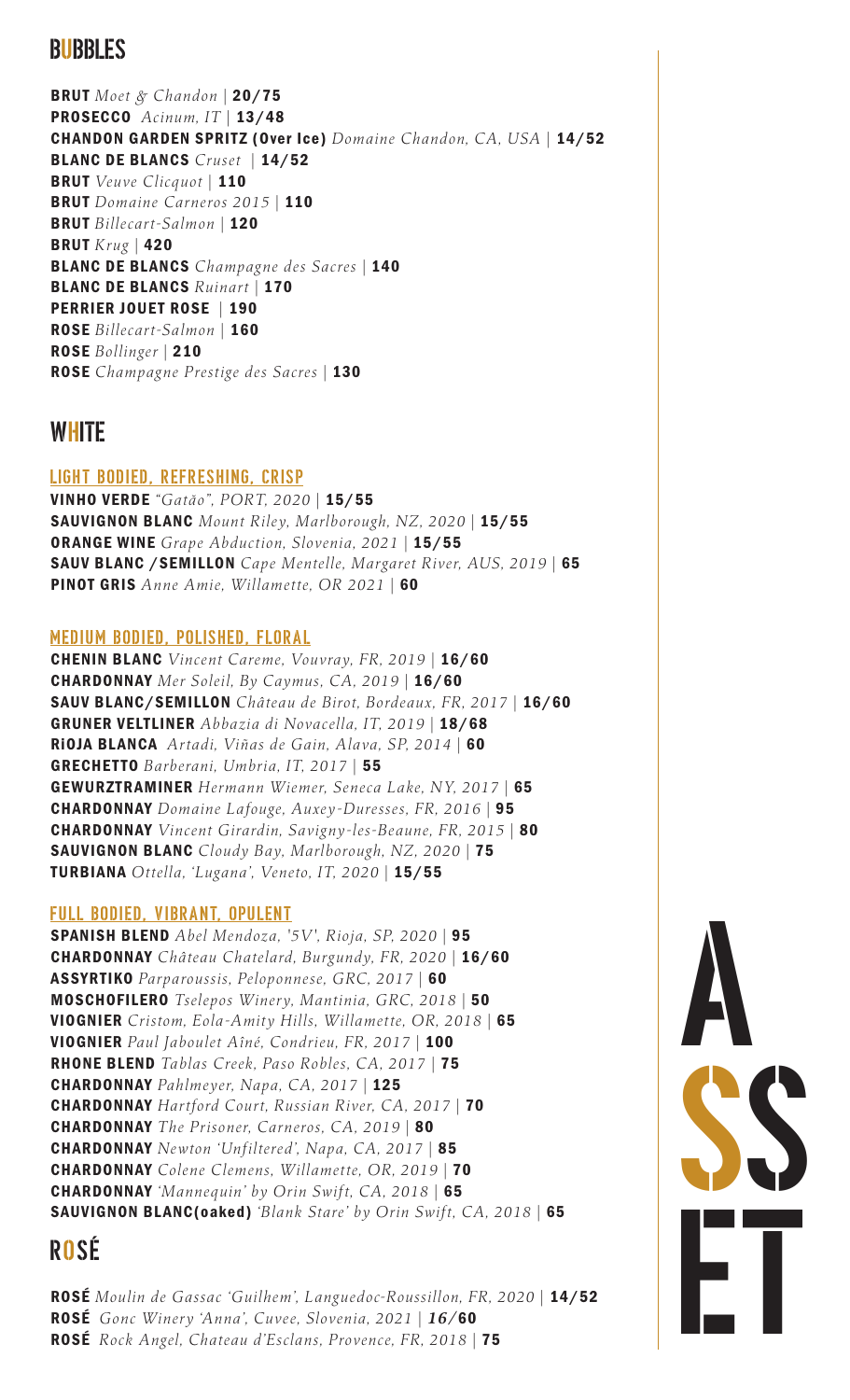## BUBBLES

BRUT *Moet & Chandon |* 20/75 PROSECCO *Acinum, IT |* 13/48 CHANDON GARDEN SPRITZ (Over Ice) *Domaine Chandon, CA, USA |* 14/52 BLANC DE BLANCS *Cruset |* 14/52 BRUT *Veuve Clicquot |* 110 BRUT *Domaine Carneros 2015 |* 110 BRUT *Billecart-Salmon |* 120 BRUT *Krug |* 420 BLANC DE BLANCS *Champagne des Sacres |* 140 BLANC DE BLANCS *Ruinart |* 170 PERRIER JOUET ROSE *|* 190 ROSE *Billecart-Salmon |* 160 ROSE *Bollinger |* 210 ROSE *Champagne Prestige des Sacres |* 130

## **WHITE**

### LIGHT BODIED, REFRESHING, CRISP

VINHO VERDE *"Gatăo", PORT, 2020 |* 15/55 SAUVIGNON BLANC *Mount Riley, Marlborough, NZ, 2020 |* 15/55 ORANGE WINE *Grape Abduction, Slovenia, 2021 |* 15/55 SAUV BLANC /SEMILLON *Cape Mentelle, Margaret River, AUS, 2019 |* 65 PINOT GRIS *Anne Amie, Willamette, OR 2021 |* 60

### MEDIUM BODIED, POLISHED, FLORAL

CHENIN BLANC *Vincent Careme, Vouvray, FR, 2019 |* 16/60 CHARDONNAY *Mer Soleil, By Caymus, CA, 2019 |* 16/60 SAUV BLANC/SEMILLON *Château de Birot, Bordeaux, FR, 2017 |* 16/60 GRUNER VELTLINER *Abbazia di Novacella, IT, 2019 |* 18/68 RiOJA BLANCA *Artadi, Viñas de Gain, Alava, SP, 2014 |* 60 GRECHETTO *Barberani, Umbria, IT, 2017 |* 55 GEWURZTRAMINER *Hermann Wiemer, Seneca Lake, NY, 2017 |* 65 CHARDONNAY *Domaine Lafouge, Auxey-Duresses, FR, 2016 |* 95 CHARDONNAY *Vincent Girardin, Savigny-les-Beaune, FR, 2015 |* 80 SAUVIGNON BLANC *Cloudy Bay, Marlborough, NZ, 2020 |* 75 TURBIANA *Ottella, 'Lugana', Veneto, IT, 2020 |* 15/55

### FULL BODIED, VIBRANT, OPULENT

SPANISH BLEND *Abel Mendoza, '5V', Rioja, SP, 2020 |* 95 CHARDONNAY *Château Chatelard, Burgundy, FR, 2020 |* 16/60 ASSYRTIKO *Parparoussis, Peloponnese, GRC, 2017 |* 60 MOSCHOFILERO *Tselepos Winery, Mantinia, GRC, 2018 |* 50 VIOGNIER *Cristom, Eola-Amity Hills, Willamette, OR, 2018 |* 65 VIOGNIER *Paul Jaboulet Aîné, Condrieu, FR, 2017 |* 100 RHONE BLEND *Tablas Creek, Paso Robles, CA, 2017 |* 75 CHARDONNAY *Pahlmeyer, Napa, CA, 2017 |* 125 CHARDONNAY *Hartford Court, Russian River, CA, 2017 |* 70 CHARDONNAY *The Prisoner, Carneros, CA, 2019 |* 80 CHARDONNAY *Newton 'Unfiltered', Napa, CA, 2017 |* 85 CHARDONNAY *Colene Clemens, Willamette, OR, 2019 |* 70 CHARDONNAY *'Mannequin' by Orin Swift, CA, 2018 |* 65 SAUVIGNON BLANC(oaked) *'Blank Stare' by Orin Swift, CA, 2018 |* 65

## ROSÉ

ROSÉ *Moulin de Gassac 'Guilhem', Languedoc-Roussillon, FR, 2020 |* 14/52 ROSÉ *Gonc Winery 'Anna', Cuvee, Slovenia, 2021 | 16/*60 ROSÉ *Rock Angel, Chateau d'Esclans, Provence, FR, 2018 |* 75